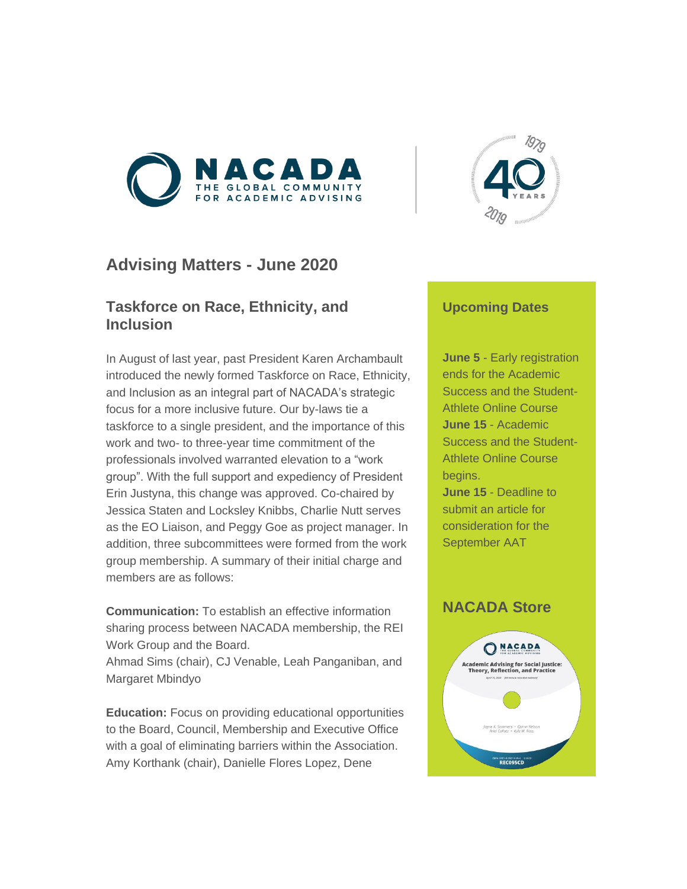



# **Advising Matters - June 2020**

# **Taskforce on Race, Ethnicity, and Inclusion**

In August of last year, past President Karen Archambault introduced the newly formed Taskforce on Race, Ethnicity, and Inclusion as an integral part of NACADA's strategic focus for a more inclusive future. Our by-laws tie a taskforce to a single president, and the importance of this work and two- to three-year time commitment of the professionals involved warranted elevation to a "work group". With the full support and expediency of President Erin Justyna, this change was approved. Co-chaired by Jessica Staten and Locksley Knibbs, Charlie Nutt serves as the EO Liaison, and Peggy Goe as project manager. In addition, three subcommittees were formed from the work group membership. A summary of their initial charge and members are as follows:

**Communication:** To establish an effective information sharing process between NACADA membership, the REI Work Group and the Board.

Ahmad Sims (chair), CJ Venable, Leah Panganiban, and Margaret Mbindyo

**Education:** Focus on providing educational opportunities to the Board, Council, Membership and Executive Office with a goal of eliminating barriers within the Association. Amy Korthank (chair), Danielle Flores Lopez, Dene

## **Upcoming Dates**

**June 5** - Early registration ends for the Academic Success and the Student-Athlete Online Course **June 15** - Academic Success and the Student-Athlete Online Course begins. **June 15** - Deadline to

submit an article for consideration for the September AAT

# **NACADA Store**

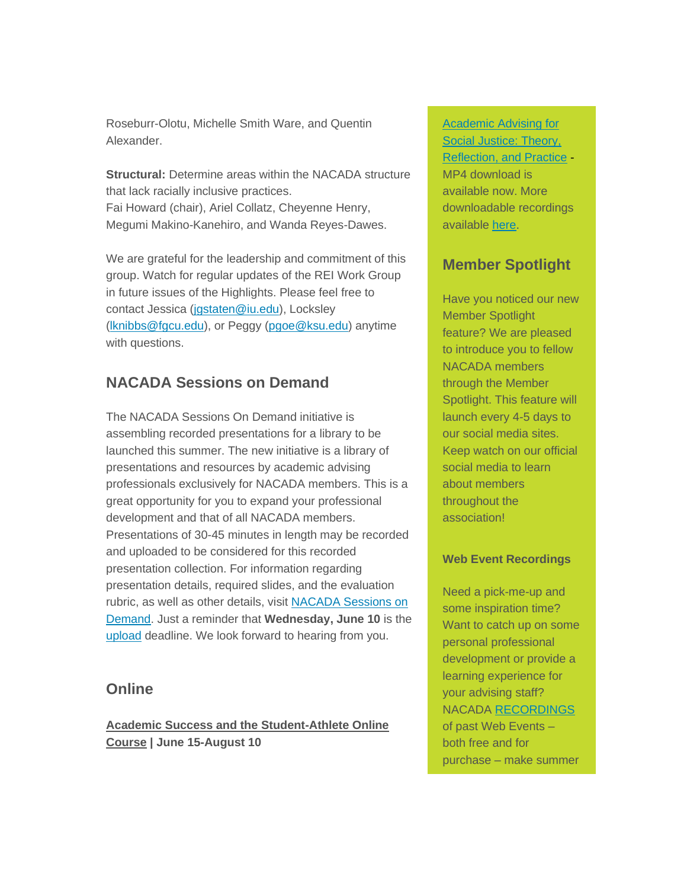Roseburr-Olotu, Michelle Smith Ware, and Quentin Alexander.

**Structural:** Determine areas within the NACADA structure that lack racially inclusive practices. Fai Howard (chair), Ariel Collatz, Cheyenne Henry, Megumi Makino-Kanehiro, and Wanda Reyes-Dawes.

We are grateful for the leadership and commitment of this group. Watch for regular updates of the REI Work Group in future issues of the Highlights. Please feel free to contact Jessica [\(jgstaten@iu.edu\)](mailto:jgstaten@iu.edu), Locksley [\(lknibbs@fgcu.edu\)](mailto:lknibbs@fgcu.edu), or Peggy [\(pgoe@ksu.edu\)](mailto:pgoe@ksu.edu) anytime with questions.

# **NACADA Sessions on Demand**

The NACADA Sessions On Demand initiative is assembling recorded presentations for a library to be launched this summer. The new initiative is a library of presentations and resources by academic advising professionals exclusively for NACADA members. This is a great opportunity for you to expand your professional development and that of all NACADA members. Presentations of 30-45 minutes in length may be recorded and uploaded to be considered for this recorded presentation collection. For information regarding presentation details, required slides, and the evaluation rubric, as well as other details, visit [NACADA Sessions on](https://elink.clickdimensions.com/c/6/?T=MjQxOTk1MTY%3AMDItYjIwMTU1LTQ0MmUyNDYyMzRiNTQ1ZmFhYTg0YmQyODg5MWM4M2Q5%3AcGdvZUBrc3UuZWR1%3AY29udGFjdC1iMTJhNTk2YjkwMzhlMjExOGEyNDAwNTA1NjgzMDAwZC05ZWFmMzc2YTFlM2Q0MWU2OGIzMjZjODA2OWNjZGU1MA%3AZmFsc2U%3AMA%3A%3AaHR0cHM6Ly9uYWNhZGEua3N1LmVkdS9SZXNvdXJjZXMvTkFDQURBLVNlc3Npb25zLW9uLURlbWFuZC5hc3B4P19jbGRlZT1jR2R2WlVCcmMzVXVaV1IxJnJlY2lwaWVudGlkPWNvbnRhY3QtYjEyYTU5NmI5MDM4ZTIxMThhMjQwMDUwNTY4MzAwMGQtOWVhZjM3NmExZTNkNDFlNjhiMzI2YzgwNjljY2RlNTAmZXNpZD0zN2UwMTEzNi0zNGE0LWVhMTEtODBlNS0wMDBkM2EwZGNlMWM&K=mGZ-kPnb4DLFHHv3wjy49g)  [Demand.](https://elink.clickdimensions.com/c/6/?T=MjQxOTk1MTY%3AMDItYjIwMTU1LTQ0MmUyNDYyMzRiNTQ1ZmFhYTg0YmQyODg5MWM4M2Q5%3AcGdvZUBrc3UuZWR1%3AY29udGFjdC1iMTJhNTk2YjkwMzhlMjExOGEyNDAwNTA1NjgzMDAwZC05ZWFmMzc2YTFlM2Q0MWU2OGIzMjZjODA2OWNjZGU1MA%3AZmFsc2U%3AMA%3A%3AaHR0cHM6Ly9uYWNhZGEua3N1LmVkdS9SZXNvdXJjZXMvTkFDQURBLVNlc3Npb25zLW9uLURlbWFuZC5hc3B4P19jbGRlZT1jR2R2WlVCcmMzVXVaV1IxJnJlY2lwaWVudGlkPWNvbnRhY3QtYjEyYTU5NmI5MDM4ZTIxMThhMjQwMDUwNTY4MzAwMGQtOWVhZjM3NmExZTNkNDFlNjhiMzI2YzgwNjljY2RlNTAmZXNpZD0zN2UwMTEzNi0zNGE0LWVhMTEtODBlNS0wMDBkM2EwZGNlMWM&K=mGZ-kPnb4DLFHHv3wjy49g) Just a reminder that **Wednesday, June 10** is the [upload](https://elink.clickdimensions.com/c/6/?T=MjQxOTk1MTY%3AMDItYjIwMTU1LTQ0MmUyNDYyMzRiNTQ1ZmFhYTg0YmQyODg5MWM4M2Q5%3AcGdvZUBrc3UuZWR1%3AY29udGFjdC1iMTJhNTk2YjkwMzhlMjExOGEyNDAwNTA1NjgzMDAwZC05ZWFmMzc2YTFlM2Q0MWU2OGIzMjZjODA2OWNjZGU1MA%3AZmFsc2U%3AMQ%3A%3AaHR0cHM6Ly9uYWNhZGEua3N1LmVkdS9SZXNvdXJjZXMvTkFDQURBLVNlc3Npb25zLW9uLURlbWFuZC9TZXNzaW9uLVN1Ym1pc3Npb24uYXNweD9fY2xkZWU9Y0dkdlpVQnJjM1V1WldSMSZyZWNpcGllbnRpZD1jb250YWN0LWIxMmE1OTZiOTAzOGUyMTE4YTI0MDA1MDU2ODMwMDBkLTllYWYzNzZhMWUzZDQxZTY4YjMyNmM4MDY5Y2NkZTUwJmVzaWQ9MzdlMDExMzYtMzRhNC1lYTExLTgwZTUtMDAwZDNhMGRjZTFj&K=BFsEXaqp1Idl_9ap6R9Wzw) deadline. We look forward to hearing from you.

# **Online**

**Academic Success and the Student-Athlete Online Course | June 15-August 10**

[Academic Advising for](https://elink.clickdimensions.com/c/6/?T=MjQxOTk1MTY%3AMDItYjIwMTU1LTQ0MmUyNDYyMzRiNTQ1ZmFhYTg0YmQyODg5MWM4M2Q5%3AcGdvZUBrc3UuZWR1%3AY29udGFjdC1iMTJhNTk2YjkwMzhlMjExOGEyNDAwNTA1NjgzMDAwZC05ZWFmMzc2YTFlM2Q0MWU2OGIzMjZjODA2OWNjZGU1MA%3AZmFsc2U%3AMTg%3A%3AaHR0cHM6Ly9teS5uYWNhZGEua3N1LmVkdS9SZXNvdXJjZXMvUHJvZHVjdC1EZXRhaWxzP1Byb2R1Y3RzRGV0YWlscz15ZXMmSUQ9UkVDMDk1TUFTVEVSJl9jbGRlZT1jR2R2WlVCcmMzVXVaV1IxJnJlY2lwaWVudGlkPWNvbnRhY3QtYjEyYTU5NmI5MDM4ZTIxMThhMjQwMDUwNTY4MzAwMGQtOWVhZjM3NmExZTNkNDFlNjhiMzI2YzgwNjljY2RlNTAmZXNpZD0zN2UwMTEzNi0zNGE0LWVhMTEtODBlNS0wMDBkM2EwZGNlMWM&K=hRbJ1-EV1bHVXCItck8A7A)  [Social Justice: Theory,](https://elink.clickdimensions.com/c/6/?T=MjQxOTk1MTY%3AMDItYjIwMTU1LTQ0MmUyNDYyMzRiNTQ1ZmFhYTg0YmQyODg5MWM4M2Q5%3AcGdvZUBrc3UuZWR1%3AY29udGFjdC1iMTJhNTk2YjkwMzhlMjExOGEyNDAwNTA1NjgzMDAwZC05ZWFmMzc2YTFlM2Q0MWU2OGIzMjZjODA2OWNjZGU1MA%3AZmFsc2U%3AMTg%3A%3AaHR0cHM6Ly9teS5uYWNhZGEua3N1LmVkdS9SZXNvdXJjZXMvUHJvZHVjdC1EZXRhaWxzP1Byb2R1Y3RzRGV0YWlscz15ZXMmSUQ9UkVDMDk1TUFTVEVSJl9jbGRlZT1jR2R2WlVCcmMzVXVaV1IxJnJlY2lwaWVudGlkPWNvbnRhY3QtYjEyYTU5NmI5MDM4ZTIxMThhMjQwMDUwNTY4MzAwMGQtOWVhZjM3NmExZTNkNDFlNjhiMzI2YzgwNjljY2RlNTAmZXNpZD0zN2UwMTEzNi0zNGE0LWVhMTEtODBlNS0wMDBkM2EwZGNlMWM&K=hRbJ1-EV1bHVXCItck8A7A)  [Reflection, and Practice](https://elink.clickdimensions.com/c/6/?T=MjQxOTk1MTY%3AMDItYjIwMTU1LTQ0MmUyNDYyMzRiNTQ1ZmFhYTg0YmQyODg5MWM4M2Q5%3AcGdvZUBrc3UuZWR1%3AY29udGFjdC1iMTJhNTk2YjkwMzhlMjExOGEyNDAwNTA1NjgzMDAwZC05ZWFmMzc2YTFlM2Q0MWU2OGIzMjZjODA2OWNjZGU1MA%3AZmFsc2U%3AMTg%3A%3AaHR0cHM6Ly9teS5uYWNhZGEua3N1LmVkdS9SZXNvdXJjZXMvUHJvZHVjdC1EZXRhaWxzP1Byb2R1Y3RzRGV0YWlscz15ZXMmSUQ9UkVDMDk1TUFTVEVSJl9jbGRlZT1jR2R2WlVCcmMzVXVaV1IxJnJlY2lwaWVudGlkPWNvbnRhY3QtYjEyYTU5NmI5MDM4ZTIxMThhMjQwMDUwNTY4MzAwMGQtOWVhZjM3NmExZTNkNDFlNjhiMzI2YzgwNjljY2RlNTAmZXNpZD0zN2UwMTEzNi0zNGE0LWVhMTEtODBlNS0wMDBkM2EwZGNlMWM&K=hRbJ1-EV1bHVXCItck8A7A) - MP4 download is available now. More downloadable recordings available [here.](https://elink.clickdimensions.com/c/6/?T=MjQxOTk1MTY%3AMDItYjIwMTU1LTQ0MmUyNDYyMzRiNTQ1ZmFhYTg0YmQyODg5MWM4M2Q5%3AcGdvZUBrc3UuZWR1%3AY29udGFjdC1iMTJhNTk2YjkwMzhlMjExOGEyNDAwNTA1NjgzMDAwZC05ZWFmMzc2YTFlM2Q0MWU2OGIzMjZjODA2OWNjZGU1MA%3AZmFsc2U%3AMTk%3A%3AaHR0cHM6Ly9uYWNhZGEua3N1LmVkdS9FdmVudHMvV2ViLUV2ZW50cy9EaWdpdGFsLVJlY29yZGluZ3MuYXNweD9fY2xkZWU9Y0dkdlpVQnJjM1V1WldSMSZyZWNpcGllbnRpZD1jb250YWN0LWIxMmE1OTZiOTAzOGUyMTE4YTI0MDA1MDU2ODMwMDBkLTllYWYzNzZhMWUzZDQxZTY4YjMyNmM4MDY5Y2NkZTUwJmVzaWQ9MzdlMDExMzYtMzRhNC1lYTExLTgwZTUtMDAwZDNhMGRjZTFj&K=r67-ch-w1HN9JSKUZjre5A)

# **Member Spotlight**

Have you noticed our new Member Spotlight feature? We are pleased to introduce you to fellow NACADA members through the Member Spotlight. This feature will launch every 4-5 days to our social media sites. Keep watch on our official social media to learn about members throughout the association!

## **Web Event Recordings**

Need a pick-me-up and some inspiration time? Want to catch up on some personal professional development or provide a learning experience for your advising staff? NACADA [RECORDINGS](https://elink.clickdimensions.com/c/6/?T=MjQxOTk1MTY%3AMDItYjIwMTU1LTQ0MmUyNDYyMzRiNTQ1ZmFhYTg0YmQyODg5MWM4M2Q5%3AcGdvZUBrc3UuZWR1%3AY29udGFjdC1iMTJhNTk2YjkwMzhlMjExOGEyNDAwNTA1NjgzMDAwZC05ZWFmMzc2YTFlM2Q0MWU2OGIzMjZjODA2OWNjZGU1MA%3AZmFsc2U%3AMjA%3A%3AaHR0cDovL3d3dy5uYWNhZGEua3N1LmVkdS9FdmVudHMtUHJvZ3JhbXMvRXZlbnRzL1dlYi1FdmVudHMvRGlnaXRhbC1SZWNvcmRpbmdzLmFzcHg_X2NsZGVlPWNHZHZaVUJyYzNVdVpXUjEmcmVjaXBpZW50aWQ9Y29udGFjdC1iMTJhNTk2YjkwMzhlMjExOGEyNDAwNTA1NjgzMDAwZC05ZWFmMzc2YTFlM2Q0MWU2OGIzMjZjODA2OWNjZGU1MCZlc2lkPTM3ZTAxMTM2LTM0YTQtZWExMS04MGU1LTAwMGQzYTBkY2UxYw&K=7moxxovW7aDqQJI97YIrtw) of past Web Events – both free and for purchase – make summer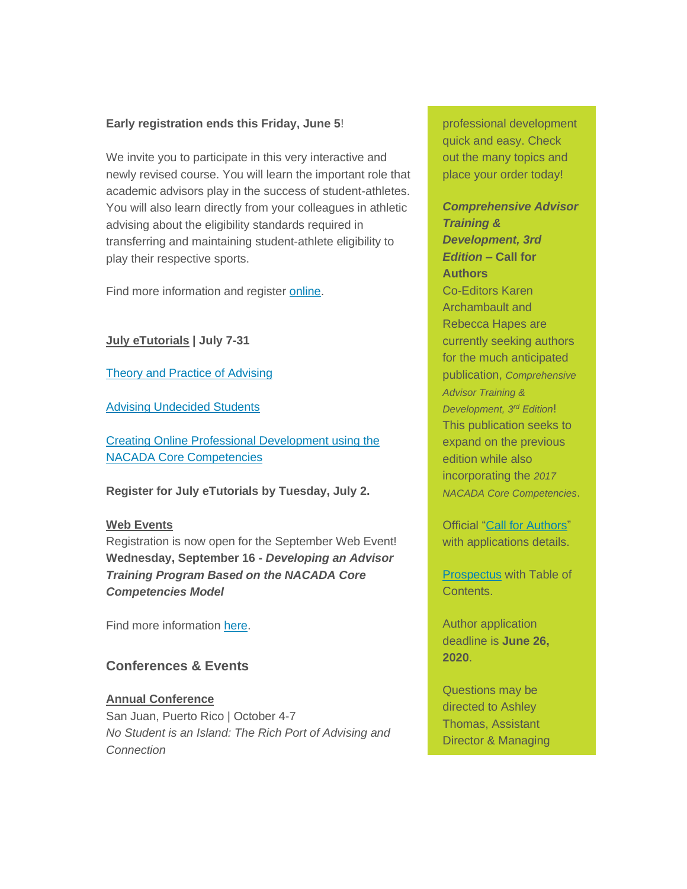### **Early registration ends this Friday, June 5**!

We invite you to participate in this very interactive and newly revised course. You will learn the important role that academic advisors play in the success of student-athletes. You will also learn directly from your colleagues in athletic advising about the eligibility standards required in transferring and maintaining student-athlete eligibility to play their respective sports.

Find more information and register [online.](https://elink.clickdimensions.com/c/6/?T=MjQxOTk1MTY%3AMDItYjIwMTU1LTQ0MmUyNDYyMzRiNTQ1ZmFhYTg0YmQyODg5MWM4M2Q5%3AcGdvZUBrc3UuZWR1%3AY29udGFjdC1iMTJhNTk2YjkwMzhlMjExOGEyNDAwNTA1NjgzMDAwZC05ZWFmMzc2YTFlM2Q0MWU2OGIzMjZjODA2OWNjZGU1MA%3AZmFsc2U%3AMg%3A%3AaHR0cHM6Ly9uYWNhZGEua3N1LmVkdS9Qcm9ncmFtcy9PbmxpbmUtRWR1Y2F0aW9uL05DQUEtU3VtbWVyLUNvdXJzZS5hc3B4P19jbGRlZT1jR2R2WlVCcmMzVXVaV1IxJnJlY2lwaWVudGlkPWNvbnRhY3QtYjEyYTU5NmI5MDM4ZTIxMThhMjQwMDUwNTY4MzAwMGQtOWVhZjM3NmExZTNkNDFlNjhiMzI2YzgwNjljY2RlNTAmZXNpZD0zN2UwMTEzNi0zNGE0LWVhMTEtODBlNS0wMDBkM2EwZGNlMWM&K=aPQ4VkFLN0uaEN4tJUxjWA)

**July eTutorials | July 7-31**

[Theory and Practice of Advising](https://elink.clickdimensions.com/c/6/?T=MjQxOTk1MTY%3AMDItYjIwMTU1LTQ0MmUyNDYyMzRiNTQ1ZmFhYTg0YmQyODg5MWM4M2Q5%3AcGdvZUBrc3UuZWR1%3AY29udGFjdC1iMTJhNTk2YjkwMzhlMjExOGEyNDAwNTA1NjgzMDAwZC05ZWFmMzc2YTFlM2Q0MWU2OGIzMjZjODA2OWNjZGU1MA%3AZmFsc2U%3AMw%3A%3AaHR0cHM6Ly9uYWNhZGEua3N1LmVkdS9Qcm9ncmFtcy9PbmxpbmUtRWR1Y2F0aW9uL2VUdXRvcmlhbHMvVGhlb3J5LVByYWN0aWNlLW9mLUFkdmlzaW5nLmFzcHg_X2NsZGVlPWNHZHZaVUJyYzNVdVpXUjEmcmVjaXBpZW50aWQ9Y29udGFjdC1iMTJhNTk2YjkwMzhlMjExOGEyNDAwNTA1NjgzMDAwZC05ZWFmMzc2YTFlM2Q0MWU2OGIzMjZjODA2OWNjZGU1MCZlc2lkPTM3ZTAxMTM2LTM0YTQtZWExMS04MGU1LTAwMGQzYTBkY2UxYw&K=7qyV5yYwhEOPB4Wrzw6Jvg)

[Advising Undecided Students](https://elink.clickdimensions.com/c/6/?T=MjQxOTk1MTY%3AMDItYjIwMTU1LTQ0MmUyNDYyMzRiNTQ1ZmFhYTg0YmQyODg5MWM4M2Q5%3AcGdvZUBrc3UuZWR1%3AY29udGFjdC1iMTJhNTk2YjkwMzhlMjExOGEyNDAwNTA1NjgzMDAwZC05ZWFmMzc2YTFlM2Q0MWU2OGIzMjZjODA2OWNjZGU1MA%3AZmFsc2U%3ANA%3A%3AaHR0cHM6Ly9uYWNhZGEua3N1LmVkdS9Qcm9ncmFtcy9PbmxpbmUtRWR1Y2F0aW9uL2VUdXRvcmlhbHMvVW5kZWNpZGVkLVN0dWRlbnRzLmFzcHg_X2NsZGVlPWNHZHZaVUJyYzNVdVpXUjEmcmVjaXBpZW50aWQ9Y29udGFjdC1iMTJhNTk2YjkwMzhlMjExOGEyNDAwNTA1NjgzMDAwZC05ZWFmMzc2YTFlM2Q0MWU2OGIzMjZjODA2OWNjZGU1MCZlc2lkPTM3ZTAxMTM2LTM0YTQtZWExMS04MGU1LTAwMGQzYTBkY2UxYw&K=5JMSASdOQSc4I1YHkvzZ9Q)

[Creating Online Professional Development using the](https://elink.clickdimensions.com/c/6/?T=MjQxOTk1MTY%3AMDItYjIwMTU1LTQ0MmUyNDYyMzRiNTQ1ZmFhYTg0YmQyODg5MWM4M2Q5%3AcGdvZUBrc3UuZWR1%3AY29udGFjdC1iMTJhNTk2YjkwMzhlMjExOGEyNDAwNTA1NjgzMDAwZC05ZWFmMzc2YTFlM2Q0MWU2OGIzMjZjODA2OWNjZGU1MA%3AZmFsc2U%3ANQ%3A%3AaHR0cHM6Ly9uYWNhZGEua3N1LmVkdS9Qcm9ncmFtcy9PbmxpbmUtRWR1Y2F0aW9uL2VUdXRvcmlhbHMvQ3JlYXRpbmctT25saW5lLVByb2Zlc3Npb25hbC1EZXZlbG9wbWVudC5hc3B4P19jbGRlZT1jR2R2WlVCcmMzVXVaV1IxJnJlY2lwaWVudGlkPWNvbnRhY3QtYjEyYTU5NmI5MDM4ZTIxMThhMjQwMDUwNTY4MzAwMGQtOWVhZjM3NmExZTNkNDFlNjhiMzI2YzgwNjljY2RlNTAmZXNpZD0zN2UwMTEzNi0zNGE0LWVhMTEtODBlNS0wMDBkM2EwZGNlMWM&K=TtRNuz37wFL0XJJ0-98H4g)  [NACADA Core Competencies](https://elink.clickdimensions.com/c/6/?T=MjQxOTk1MTY%3AMDItYjIwMTU1LTQ0MmUyNDYyMzRiNTQ1ZmFhYTg0YmQyODg5MWM4M2Q5%3AcGdvZUBrc3UuZWR1%3AY29udGFjdC1iMTJhNTk2YjkwMzhlMjExOGEyNDAwNTA1NjgzMDAwZC05ZWFmMzc2YTFlM2Q0MWU2OGIzMjZjODA2OWNjZGU1MA%3AZmFsc2U%3ANQ%3A%3AaHR0cHM6Ly9uYWNhZGEua3N1LmVkdS9Qcm9ncmFtcy9PbmxpbmUtRWR1Y2F0aW9uL2VUdXRvcmlhbHMvQ3JlYXRpbmctT25saW5lLVByb2Zlc3Npb25hbC1EZXZlbG9wbWVudC5hc3B4P19jbGRlZT1jR2R2WlVCcmMzVXVaV1IxJnJlY2lwaWVudGlkPWNvbnRhY3QtYjEyYTU5NmI5MDM4ZTIxMThhMjQwMDUwNTY4MzAwMGQtOWVhZjM3NmExZTNkNDFlNjhiMzI2YzgwNjljY2RlNTAmZXNpZD0zN2UwMTEzNi0zNGE0LWVhMTEtODBlNS0wMDBkM2EwZGNlMWM&K=TtRNuz37wFL0XJJ0-98H4g)

**Register for July eTutorials by Tuesday, July 2.**

#### **Web Events**

Registration is now open for the September Web Event! **Wednesday, September 16 -** *Developing an Advisor Training Program Based on the NACADA Core Competencies Model*

Find more information [here.](https://elink.clickdimensions.com/c/6/?T=MjQxOTk1MTY%3AMDItYjIwMTU1LTQ0MmUyNDYyMzRiNTQ1ZmFhYTg0YmQyODg5MWM4M2Q5%3AcGdvZUBrc3UuZWR1%3AY29udGFjdC1iMTJhNTk2YjkwMzhlMjExOGEyNDAwNTA1NjgzMDAwZC05ZWFmMzc2YTFlM2Q0MWU2OGIzMjZjODA2OWNjZGU1MA%3AZmFsc2U%3ANg%3A%3AaHR0cHM6Ly9uYWNhZGEua3N1LmVkdS9FdmVudHMvV2ViLUV2ZW50cy9XZWItRXZlbnRzLUNvbWluZy5hc3B4P19jbGRlZT1jR2R2WlVCcmMzVXVaV1IxJnJlY2lwaWVudGlkPWNvbnRhY3QtYjEyYTU5NmI5MDM4ZTIxMThhMjQwMDUwNTY4MzAwMGQtOWVhZjM3NmExZTNkNDFlNjhiMzI2YzgwNjljY2RlNTAmZXNpZD0zN2UwMTEzNi0zNGE0LWVhMTEtODBlNS0wMDBkM2EwZGNlMWM&K=sMRr9CscNTs8lo2sdkAC-Q)

## **Conferences & Events**

#### **Annual Conference**

San Juan, Puerto Rico | October 4-7 *No Student is an Island: The Rich Port of Advising and Connection*

professional development quick and easy. Check out the many topics and place your order today!

## *Comprehensive Advisor Training & Development, 3rd Edition* **– Call for Authors**

Co-Editors Karen Archambault and Rebecca Hapes are currently seeking authors for the much anticipated publication, *Comprehensive Advisor Training & Development, 3rd Edition*! This publication seeks to expand on the previous edition while also incorporating the *2017 NACADA Core Competencies*.

Official ["Call for Authors"](https://elink.clickdimensions.com/c/6/?T=MjQxOTk1MTY%3AMDItYjIwMTU1LTQ0MmUyNDYyMzRiNTQ1ZmFhYTg0YmQyODg5MWM4M2Q5%3AcGdvZUBrc3UuZWR1%3AY29udGFjdC1iMTJhNTk2YjkwMzhlMjExOGEyNDAwNTA1NjgzMDAwZC05ZWFmMzc2YTFlM2Q0MWU2OGIzMjZjODA2OWNjZGU1MA%3AZmFsc2U%3AMjE%3A%3AaHR0cHM6Ly9uYWNhZGEua3N1LmVkdS9Qb3J0YWxzLzAvUmVzb3VyY2VzL2RvY3VtZW50cy9UcmFpbkRldkNhbGxmb3JBdXRob3JzLnBkZj92ZXI9MjAyMC0wNi0wMS0xNDMyMzItMzI3Jl9jbGRlZT1jR2R2WlVCcmMzVXVaV1IxJnJlY2lwaWVudGlkPWNvbnRhY3QtYjEyYTU5NmI5MDM4ZTIxMThhMjQwMDUwNTY4MzAwMGQtOWVhZjM3NmExZTNkNDFlNjhiMzI2YzgwNjljY2RlNTAmZXNpZD0zN2UwMTEzNi0zNGE0LWVhMTEtODBlNS0wMDBkM2EwZGNlMWM&K=n4_Y36w3pAp_NbWqjqnYJA) with applications details.

[Prospectus](https://elink.clickdimensions.com/c/6/?T=MjQxOTk1MTY%3AMDItYjIwMTU1LTQ0MmUyNDYyMzRiNTQ1ZmFhYTg0YmQyODg5MWM4M2Q5%3AcGdvZUBrc3UuZWR1%3AY29udGFjdC1iMTJhNTk2YjkwMzhlMjExOGEyNDAwNTA1NjgzMDAwZC05ZWFmMzc2YTFlM2Q0MWU2OGIzMjZjODA2OWNjZGU1MA%3AZmFsc2U%3AMjI%3A%3AaHR0cHM6Ly9uYWNhZGEua3N1LmVkdS9Qb3J0YWxzLzAvUmVzb3VyY2VzL2RvY3VtZW50cy9BVERCb29rUHJvc3BlY3R1cy5wZGY_dmVyPTIwMjAtMDYtMDEtMTQzMjMyLTU5MCZfY2xkZWU9Y0dkdlpVQnJjM1V1WldSMSZyZWNpcGllbnRpZD1jb250YWN0LWIxMmE1OTZiOTAzOGUyMTE4YTI0MDA1MDU2ODMwMDBkLTllYWYzNzZhMWUzZDQxZTY4YjMyNmM4MDY5Y2NkZTUwJmVzaWQ9MzdlMDExMzYtMzRhNC1lYTExLTgwZTUtMDAwZDNhMGRjZTFj&K=aJGP_-691fiXa6BtFuizqw) with Table of **Contents** 

Author application deadline is **June 26, 2020**.

Questions may be directed to Ashley Thomas, Assistant Director & Managing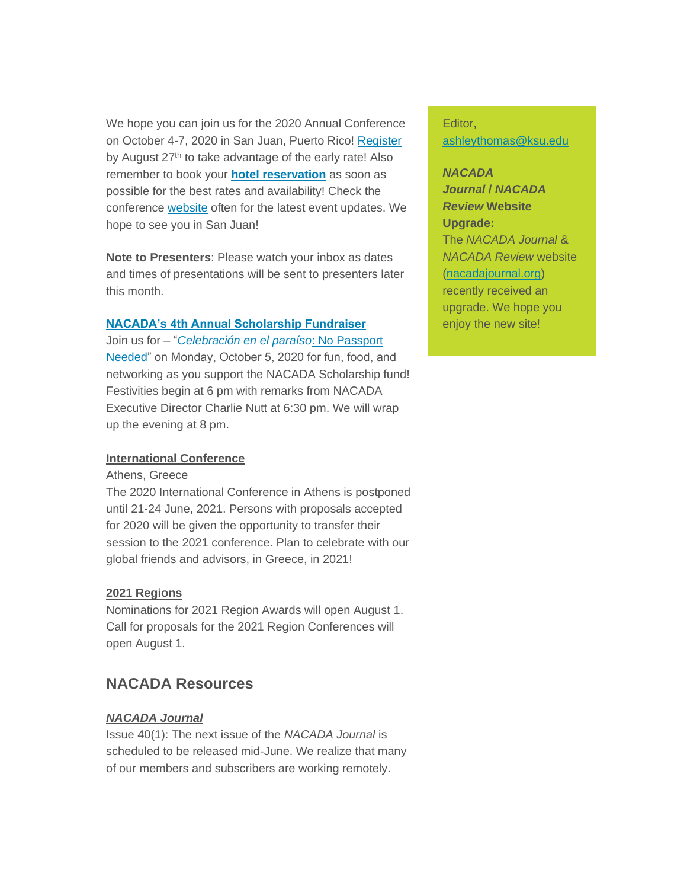We hope you can join us for the 2020 Annual Conference on October 4-7, 2020 in San Juan, Puerto Rico! [Register](https://elink.clickdimensions.com/c/6/?T=MjQxOTk1MTY%3AMDItYjIwMTU1LTQ0MmUyNDYyMzRiNTQ1ZmFhYTg0YmQyODg5MWM4M2Q5%3AcGdvZUBrc3UuZWR1%3AY29udGFjdC1iMTJhNTk2YjkwMzhlMjExOGEyNDAwNTA1NjgzMDAwZC05ZWFmMzc2YTFlM2Q0MWU2OGIzMjZjODA2OWNjZGU1MA%3AZmFsc2U%3ANw%3A%3AaHR0cHM6Ly93d3cubmFjYWRhLmtzdS5lZHUvRXZlbnRzL0FubnVhbC1Db25mZXJlbmNlL1JlZ2lzdHJhdGlvbi1JbmZvcm1hdGlvbi5hc3B4P19jbGRlZT1jR2R2WlVCcmMzVXVaV1IxJnJlY2lwaWVudGlkPWNvbnRhY3QtYjEyYTU5NmI5MDM4ZTIxMThhMjQwMDUwNTY4MzAwMGQtOWVhZjM3NmExZTNkNDFlNjhiMzI2YzgwNjljY2RlNTAmZXNpZD0zN2UwMTEzNi0zNGE0LWVhMTEtODBlNS0wMDBkM2EwZGNlMWM&K=68yJ2DpA-DZfJZ7y910gaQ)  by August 27<sup>th</sup> to take advantage of the early rate! Also remember to book your **[hotel reservation](https://elink.clickdimensions.com/c/6/?T=MjQxOTk1MTY%3AMDItYjIwMTU1LTQ0MmUyNDYyMzRiNTQ1ZmFhYTg0YmQyODg5MWM4M2Q5%3AcGdvZUBrc3UuZWR1%3AY29udGFjdC1iMTJhNTk2YjkwMzhlMjExOGEyNDAwNTA1NjgzMDAwZC05ZWFmMzc2YTFlM2Q0MWU2OGIzMjZjODA2OWNjZGU1MA%3AZmFsc2U%3AOA%3A%3AaHR0cDovL3d3dy5uYWNhZGEua3N1LmVkdS9FdmVudHMtUHJvZ3JhbXMvRXZlbnRzL0FubnVhbC1Db25mZXJlbmNlL0hvdGVsLUluZm9ybWF0aW9uLmFzcHg_X2NsZGVlPWNHZHZaVUJyYzNVdVpXUjEmcmVjaXBpZW50aWQ9Y29udGFjdC1iMTJhNTk2YjkwMzhlMjExOGEyNDAwNTA1NjgzMDAwZC05ZWFmMzc2YTFlM2Q0MWU2OGIzMjZjODA2OWNjZGU1MCZlc2lkPTM3ZTAxMTM2LTM0YTQtZWExMS04MGU1LTAwMGQzYTBkY2UxYw&K=4h1wkEiXYHMJlsPLO9RDZw)** as soon as possible for the best rates and availability! Check the conference [website](https://elink.clickdimensions.com/c/6/?T=MjQxOTk1MTY%3AMDItYjIwMTU1LTQ0MmUyNDYyMzRiNTQ1ZmFhYTg0YmQyODg5MWM4M2Q5%3AcGdvZUBrc3UuZWR1%3AY29udGFjdC1iMTJhNTk2YjkwMzhlMjExOGEyNDAwNTA1NjgzMDAwZC05ZWFmMzc2YTFlM2Q0MWU2OGIzMjZjODA2OWNjZGU1MA%3AZmFsc2U%3AOQ%3A%3AaHR0cHM6Ly9uYWNhZGEua3N1LmVkdS9FdmVudHMvQW5udWFsLUNvbmZlcmVuY2UuYXNweD9fY2xkZWU9Y0dkdlpVQnJjM1V1WldSMSZyZWNpcGllbnRpZD1jb250YWN0LWIxMmE1OTZiOTAzOGUyMTE4YTI0MDA1MDU2ODMwMDBkLTllYWYzNzZhMWUzZDQxZTY4YjMyNmM4MDY5Y2NkZTUwJmVzaWQ9MzdlMDExMzYtMzRhNC1lYTExLTgwZTUtMDAwZDNhMGRjZTFj&K=FOipJKAlooSXRX0zVkuLPw) often for the latest event updates. We hope to see you in San Juan!

**Note to Presenters**: Please watch your inbox as dates and times of presentations will be sent to presenters later this month.

### **[NACADA's 4th Annual Scholarship Fundraiser](https://elink.clickdimensions.com/c/6/?T=MjQxOTk1MTY%3AMDItYjIwMTU1LTQ0MmUyNDYyMzRiNTQ1ZmFhYTg0YmQyODg5MWM4M2Q5%3AcGdvZUBrc3UuZWR1%3AY29udGFjdC1iMTJhNTk2YjkwMzhlMjExOGEyNDAwNTA1NjgzMDAwZC05ZWFmMzc2YTFlM2Q0MWU2OGIzMjZjODA2OWNjZGU1MA%3AZmFsc2U%3AMTA%3A%3AaHR0cHM6Ly9uYWNhZGEua3N1LmVkdS9FdmVudHMvQW5udWFsLUNvbmZlcmVuY2UvU3BlY2lhbC1Db25mZXJlbmNlLUV2ZW50L0Z1bmRyYWlzZXIuYXNweD9fY2xkZWU9Y0dkdlpVQnJjM1V1WldSMSZyZWNpcGllbnRpZD1jb250YWN0LWIxMmE1OTZiOTAzOGUyMTE4YTI0MDA1MDU2ODMwMDBkLTllYWYzNzZhMWUzZDQxZTY4YjMyNmM4MDY5Y2NkZTUwJmVzaWQ9MzdlMDExMzYtMzRhNC1lYTExLTgwZTUtMDAwZDNhMGRjZTFj&K=1qyaIiROx2Vk2JV2dzuTVg)**

Join us for – "*[Celebración en el paraíso](https://elink.clickdimensions.com/c/6/?T=MjQxOTk1MTY%3AMDItYjIwMTU1LTQ0MmUyNDYyMzRiNTQ1ZmFhYTg0YmQyODg5MWM4M2Q5%3AcGdvZUBrc3UuZWR1%3AY29udGFjdC1iMTJhNTk2YjkwMzhlMjExOGEyNDAwNTA1NjgzMDAwZC05ZWFmMzc2YTFlM2Q0MWU2OGIzMjZjODA2OWNjZGU1MA%3AZmFsc2U%3AMTE%3A%3AaHR0cHM6Ly9uYWNhZGEua3N1LmVkdS9FdmVudHMvQW5udWFsLUNvbmZlcmVuY2UvU3BlY2lhbC1Db25mZXJlbmNlLUV2ZW50L0Z1bmRyYWlzZXIuYXNweD9fY2xkZWU9Y0dkdlpVQnJjM1V1WldSMSZyZWNpcGllbnRpZD1jb250YWN0LWIxMmE1OTZiOTAzOGUyMTE4YTI0MDA1MDU2ODMwMDBkLTllYWYzNzZhMWUzZDQxZTY4YjMyNmM4MDY5Y2NkZTUwJmVzaWQ9MzdlMDExMzYtMzRhNC1lYTExLTgwZTUtMDAwZDNhMGRjZTFj&K=ZVPb83_MV5V7UJlN7-YmIQ)*: No Passport [Needed"](https://elink.clickdimensions.com/c/6/?T=MjQxOTk1MTY%3AMDItYjIwMTU1LTQ0MmUyNDYyMzRiNTQ1ZmFhYTg0YmQyODg5MWM4M2Q5%3AcGdvZUBrc3UuZWR1%3AY29udGFjdC1iMTJhNTk2YjkwMzhlMjExOGEyNDAwNTA1NjgzMDAwZC05ZWFmMzc2YTFlM2Q0MWU2OGIzMjZjODA2OWNjZGU1MA%3AZmFsc2U%3AMTE%3A%3AaHR0cHM6Ly9uYWNhZGEua3N1LmVkdS9FdmVudHMvQW5udWFsLUNvbmZlcmVuY2UvU3BlY2lhbC1Db25mZXJlbmNlLUV2ZW50L0Z1bmRyYWlzZXIuYXNweD9fY2xkZWU9Y0dkdlpVQnJjM1V1WldSMSZyZWNpcGllbnRpZD1jb250YWN0LWIxMmE1OTZiOTAzOGUyMTE4YTI0MDA1MDU2ODMwMDBkLTllYWYzNzZhMWUzZDQxZTY4YjMyNmM4MDY5Y2NkZTUwJmVzaWQ9MzdlMDExMzYtMzRhNC1lYTExLTgwZTUtMDAwZDNhMGRjZTFj&K=ZVPb83_MV5V7UJlN7-YmIQ) on Monday, October 5, 2020 for fun, food, and networking as you support the NACADA Scholarship fund! Festivities begin at 6 pm with remarks from NACADA Executive Director Charlie Nutt at 6:30 pm. We will wrap up the evening at 8 pm.

#### **International Conference**

#### Athens, Greece

The 2020 International Conference in Athens is postponed until 21-24 June, 2021. Persons with proposals accepted for 2020 will be given the opportunity to transfer their session to the 2021 conference. Plan to celebrate with our global friends and advisors, in Greece, in 2021!

## **2021 Regions**

Nominations for 2021 Region Awards will open August 1. Call for proposals for the 2021 Region Conferences will open August 1.

# **NACADA Resources**

## *NACADA Journal*

Issue 40(1): The next issue of the *NACADA Journal* is scheduled to be released mid-June. We realize that many of our members and subscribers are working remotely.

Editor, [ashleythomas@ksu.edu](mailto:ashleythomas@ksu.edu)

*NACADA Journal* **/** *NACADA Review* **Website Upgrade:** The *NACADA Journal* & *NACADA Review* website [\(nacadajournal.org\)](https://elink.clickdimensions.com/c/6/?T=MjQxOTk1MTY%3AMDItYjIwMTU1LTQ0MmUyNDYyMzRiNTQ1ZmFhYTg0YmQyODg5MWM4M2Q5%3AcGdvZUBrc3UuZWR1%3AY29udGFjdC1iMTJhNTk2YjkwMzhlMjExOGEyNDAwNTA1NjgzMDAwZC05ZWFmMzc2YTFlM2Q0MWU2OGIzMjZjODA2OWNjZGU1MA%3AZmFsc2U%3AMjM%3A%3AaHR0cDovL3d3dy5uYWNhZGFqb3VybmFsLm9yZz9fY2xkZWU9Y0dkdlpVQnJjM1V1WldSMSZyZWNpcGllbnRpZD1jb250YWN0LWIxMmE1OTZiOTAzOGUyMTE4YTI0MDA1MDU2ODMwMDBkLTllYWYzNzZhMWUzZDQxZTY4YjMyNmM4MDY5Y2NkZTUwJmVzaWQ9MzdlMDExMzYtMzRhNC1lYTExLTgwZTUtMDAwZDNhMGRjZTFj&K=FMyEkT2V3gsCQKo9N-CM-Q) recently received an upgrade. We hope you enjoy the new site!